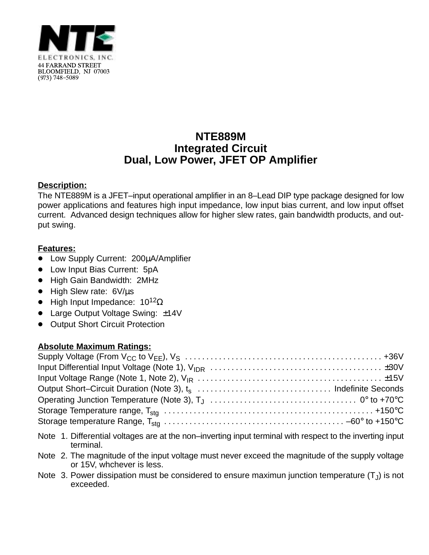

## **NTE889M Integrated Circuit Dual, Low Power, JFET OP Amplifier**

### **Description:**

The NTE889M is a JFET–input operational amplifier in an 8–Lead DIP type package designed for low power applications and features high input impedance, low input bias current, and low input offset current. Advanced design techniques allow for higher slew rates, gain bandwidth products, and output swing.

### **Features:**

- <del>■ Low Supply Current:</del> 200μA/Amplifier
- Low Input Bias Current: 5pA
- High Gain Bandwidth: 2MHz
- High Slew rate: 6V/µs
- $\bullet$  High Input Impedance: 10<sup>12</sup>Ω
- Large Output Voltage Swing: ±14V
- Output Short Circuit Protection

### **Absolute Maximum Ratings:**

- Note 1. Differential voltages are at the non–inverting input terminal with respect to the inverting input terminal.
- Note 2. The magnitude of the input voltage must never exceed the magnitude of the supply voltage or 15V, whchever is less.
- Note 3. Power dissipation must be considered to ensure maximun junction temperature  $(T<sub>J</sub>)$  is not exceeded.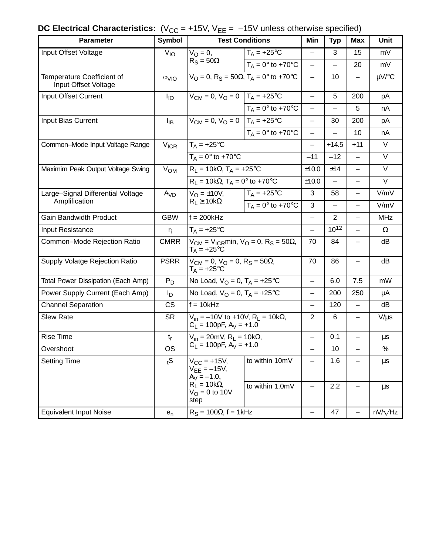# **DC Electrical Characteristics:** ( $V_{CC}$  = +15V,  $V_{EE}$  = -15V unless otherwise specified)

| <b>Parameter</b>                                   | <b>Symbol</b>                                           | <b>Test Conditions</b>                                                                                         |                                   | Min                      | <b>Typ</b>     | <b>Max</b>               | <b>Unit</b>    |
|----------------------------------------------------|---------------------------------------------------------|----------------------------------------------------------------------------------------------------------------|-----------------------------------|--------------------------|----------------|--------------------------|----------------|
| Input Offset Voltage                               | $V_{IO}$                                                | $V_{\Omega} = 0$ ,<br>$R_S = 50\Omega$                                                                         | $T_A = +25$ °C                    | $\overline{\phantom{0}}$ | 3              | 15                       | mV             |
|                                                    |                                                         |                                                                                                                | $T_A = 0^\circ$ to +70 $^\circ$ C | $\qquad \qquad -$        |                | 20                       | mV             |
| Temperature Coefficient of<br>Input Offset Voltage | $\alpha$ <sub>VIO</sub>                                 | $V_O = 0$ , R <sub>S</sub> = 50Ω, T <sub>A</sub> = 0° to +70°C                                                 |                                   | $\qquad \qquad -$        | 10             |                          | $\mu$ V/°C     |
| Input Offset Current                               | $I_{IO}$                                                | $V_{CM} = 0$ , $V_{O} = 0$   T <sub>A</sub> = +25°C                                                            |                                   | $\overline{\phantom{0}}$ | 5              | 200                      | pA             |
|                                                    |                                                         |                                                                                                                | $T_A = 0^\circ$ to +70 $^\circ$ C | $\overline{\phantom{0}}$ |                | 5                        | nA             |
| Input Bias Current                                 | $I_{IB}$                                                | $V_{CM} = 0$ , $V_{O} = 0$ $T_A = +25$ °C                                                                      |                                   | $\qquad \qquad -$        | 30             | 200                      | pA             |
|                                                    |                                                         |                                                                                                                | $T_A = 0^\circ$ to +70 $^\circ$ C | $\qquad \qquad -$        |                | 10                       | nA             |
| Common-Mode Input Voltage Range                    | $V_{ICR}$                                               | $T_A = +25$ °C                                                                                                 |                                   | $\overline{\phantom{0}}$ | $+14.5$        | $+11$                    | $\vee$         |
|                                                    |                                                         | $T_A = 0^\circ$ to +70 $^\circ$ C                                                                              |                                   | $-11$                    | $-12$          | $\overline{\phantom{0}}$ | $\vee$         |
| Maximim Peak Output Voltage Swing                  | $R_L$ = 10kΩ, T <sub>A</sub> = +25°C<br>V <sub>OM</sub> |                                                                                                                |                                   | ±10.0                    | ±14            | $\overline{\phantom{0}}$ | $\vee$         |
|                                                    |                                                         | $R_L$ = 10kΩ, T <sub>A</sub> = 0° to +70°C                                                                     |                                   | ±10.0                    |                |                          | $\vee$         |
| Large-Signal Differential Voltage                  | A <sub>VD</sub>                                         | $V_{\rm O} = \pm 10 V$ ,<br>$R_1 \geq 10k\Omega$                                                               | $T_A = +25$ °C                    | 3                        | 58             | $\overline{\phantom{0}}$ | V/mV           |
| Amplification                                      |                                                         |                                                                                                                | $T_A = 0^\circ$ to +70 $^\circ$ C | 3                        |                | $\overline{\phantom{0}}$ | V/mV           |
| <b>Gain Bandwidth Product</b>                      | <b>GBW</b>                                              | $f = 200kHz$                                                                                                   |                                   | $\overline{\phantom{0}}$ | $\overline{2}$ | $\overline{\phantom{0}}$ | <b>MHz</b>     |
| Input Resistance                                   | $r_i$                                                   | $T_A = +25$ °C                                                                                                 |                                   | $\qquad \qquad -$        | $10^{12}$      | $\overline{\phantom{0}}$ | Ω              |
| Common-Mode Rejection Ratio                        | <b>CMRR</b>                                             | $V_{CM}$ = $V_{ICR}$ min, $V_{O}$ = 0, R <sub>S</sub> = 50 $\Omega$ ,<br>$T_A = +25$ °C                        |                                   | 70                       | 84             | $\overline{\phantom{0}}$ | dB             |
| Supply Volatge Rejection Ratio                     | <b>PSRR</b>                                             | $V_{CM} = 0$ , $V_{O} = 0$ , $R_S = 50\Omega$ ,<br>$T_A = +25$ °C                                              |                                   | 70                       | 86             |                          | dB             |
| Total Power Dissipation (Each Amp)                 | $P_D$                                                   | No Load, $V_{O} = 0$ , $T_{A} = +25$ °C                                                                        |                                   | $\overline{\phantom{0}}$ | 6.0            | 7.5                      | mW             |
| Power Supply Current (Each Amp)                    | I <sub>D</sub>                                          | No Load, $V_O = 0$ , $T_A = +25$ °C                                                                            |                                   | $\qquad \qquad -$        | 200            | 250                      | μA             |
| <b>Channel Separation</b>                          | <b>CS</b>                                               | $f = 10kHz$                                                                                                    |                                   | $\overline{\phantom{0}}$ | 120            | $\overline{\phantom{0}}$ | dB             |
| <b>Slew Rate</b>                                   | <b>SR</b>                                               | $V_{in}$ = -10V to +10V, R <sub>L</sub> = 10kΩ,<br>$C_L = 100pF$ , $A_V = +1.0$                                |                                   | $\overline{2}$           | 6              | -                        | $V/\mu s$      |
| <b>Rise Time</b>                                   | $t_{r}$                                                 | $V_{in}$ = 20mV, R <sub>L</sub> = 10k $\Omega$ ,<br>$C_L$ = 100pF, $A_V$ = +1.0                                |                                   | $\qquad \qquad -$        | 0.1            |                          | μs             |
| Overshoot                                          | OS                                                      |                                                                                                                |                                   |                          | 10             |                          | $\%$           |
| <b>Setting Time</b>                                | $S_t$                                                   | $V_{CC} = +15V,$<br>$V_{EE} = -15V,$<br>$A_V = -1.0$ ,<br>$R_1 = 10k\Omega$<br>$V_{\Omega} = 0$ to 10V<br>step | to within 10mV                    | —                        | 1.6            |                          | μs             |
|                                                    |                                                         |                                                                                                                | to within 1.0mV                   | —                        | 2.2            |                          | μs             |
| <b>Equivalent Input Noise</b>                      | $e_n$                                                   | $R_S = 100\Omega$ , f = 1kHz                                                                                   |                                   | $\qquad \qquad -$        | 47             | $\qquad \qquad -$        | $nV/\sqrt{Hz}$ |